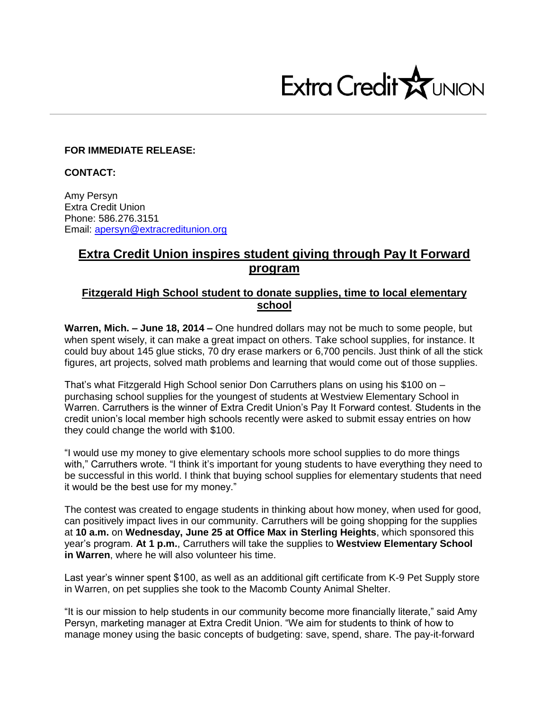

## **FOR IMMEDIATE RELEASE:**

**CONTACT:**

Amy Persyn Extra Credit Union Phone: 586.276.3151 Email: [apersyn@extracreditunion.org](mailto:apersyn@extracreditunion.org)

## **Extra Credit Union inspires student giving through Pay It Forward program**

## **Fitzgerald High School student to donate supplies, time to local elementary school**

**Warren, Mich. – June 18, 2014 –** One hundred dollars may not be much to some people, but when spent wisely, it can make a great impact on others. Take school supplies, for instance. It could buy about 145 glue sticks, 70 dry erase markers or 6,700 pencils. Just think of all the stick figures, art projects, solved math problems and learning that would come out of those supplies.

That's what Fitzgerald High School senior Don Carruthers plans on using his \$100 on – purchasing school supplies for the youngest of students at Westview Elementary School in Warren. Carruthers is the winner of Extra Credit Union's Pay It Forward contest. Students in the credit union's local member high schools recently were asked to submit essay entries on how they could change the world with \$100.

"I would use my money to give elementary schools more school supplies to do more things with," Carruthers wrote. "I think it's important for young students to have everything they need to be successful in this world. I think that buying school supplies for elementary students that need it would be the best use for my money."

The contest was created to engage students in thinking about how money, when used for good, can positively impact lives in our community. Carruthers will be going shopping for the supplies at **10 a.m.** on **Wednesday, June 25 at Office Max in Sterling Heights**, which sponsored this year's program. **At 1 p.m.**, Carruthers will take the supplies to **Westview Elementary School in Warren**, where he will also volunteer his time.

Last year's winner spent \$100, as well as an additional gift certificate from K-9 Pet Supply store in Warren, on pet supplies she took to the Macomb County Animal Shelter.

"It is our mission to help students in our community become more financially literate," said Amy Persyn, marketing manager at Extra Credit Union. "We aim for students to think of how to manage money using the basic concepts of budgeting: save, spend, share. The pay-it-forward